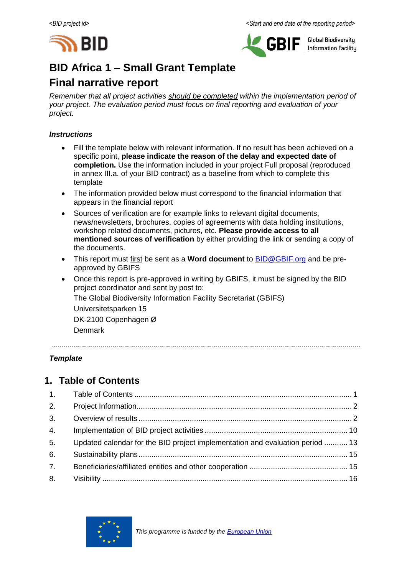



**Global Biodiversity Information Facilitu** 

# **BID Africa 1 – Small Grant Template**

# **Final narrative report**

*Remember that all project activities should be completed within the implementation period of your project. The evaluation period must focus on final reporting and evaluation of your project.*

### *Instructions*

- Fill the template below with relevant information. If no result has been achieved on a specific point, **please indicate the reason of the delay and expected date of completion.** Use the information included in your project Full proposal (reproduced in annex III.a. of your BID contract) as a baseline from which to complete this template
- The information provided below must correspond to the financial information that appears in the financial report
- Sources of verification are for example links to relevant digital documents, news/newsletters, brochures, copies of agreements with data holding institutions, workshop related documents, pictures, etc. **Please provide access to all mentioned sources of verification** by either providing the link or sending a copy of the documents.
- This report must first be sent as a **Word document** to [BID@GBIF.org](mailto:BID@GBIF.org) and be preapproved by GBIFS
- Once this report is pre-approved in writing by GBIFS, it must be signed by the BID project coordinator and sent by post to: The Global Biodiversity Information Facility Secretariat (GBIFS) Universitetsparken 15 DK-2100 Copenhagen Ø Denmark

*Template*

# <span id="page-0-0"></span>**1. Table of Contents**

| 2. |                                                                               |  |
|----|-------------------------------------------------------------------------------|--|
| 3. |                                                                               |  |
| 4. |                                                                               |  |
| 5. | Updated calendar for the BID project implementation and evaluation period  13 |  |
| 6. |                                                                               |  |
| 7. |                                                                               |  |
| 8. |                                                                               |  |

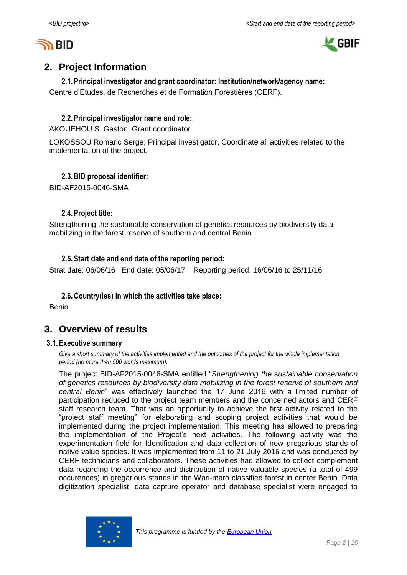



# <span id="page-1-0"></span>**2. Project Information**

### **2.1.Principal investigator and grant coordinator: Institution/network/agency name:**

Centre d'Etudes, de Recherches et de Formation Forestières (CERF).

### **2.2.Principal investigator name and role:**

AKOUEHOU S. Gaston, Grant coordinator

LOKOSSOU Romaric Serge; Principal investigator, Coordinate all activities related to the implementation of the project.

## **2.3.BID proposal identifier:**

BID-AF2015-0046-SMA

### **2.4.Project title:**

Strengthening the sustainable conservation of genetics resources by biodiversity data mobilizing in the forest reserve of southern and central Benin

### **2.5.Start date and end date of the reporting period:**

Strat date: 06/06/16 End date: 05/06/17 Reporting period: 16/06/16 to 25/11/16

### **2.6.Country(ies) in which the activities take place:**

Benin

# <span id="page-1-1"></span>**3. Overview of results**

#### **3.1.Executive summary**

*Give a short summary of the activities implemented and the outcomes of the project for the whole implementation period (no more than 500 words maximum).*

The project BID-AF2015-0046-SMA entitled "*Strengthening the sustainable conservation of genetics resources by biodiversity data mobilizing in the forest reserve of southern and central Benin*" was effectively launched the 17 June 2016 with a limited number of participation reduced to the project team members and the concerned actors and CERF staff research team. That was an opportunity to achieve the first activity related to the "project staff meeting" for elaborating and scoping project activities that would be implemented during the project implementation. This meeting has allowed to preparing the implementation of the Project's next activities. The following activity was the experimentation field for Identification and data collection of new gregarious stands of native value species. It was implemented from 11 to 21 July 2016 and was conducted by CERF technicians and collaborators. These activities had allowed to collect complement data regarding the occurrence and distribution of native valuable species (a total of 499 occurences) in gregarious stands in the Wari-maro classified forest in center Benin. Data digitization specialist, data capture operator and database specialist were engaged to

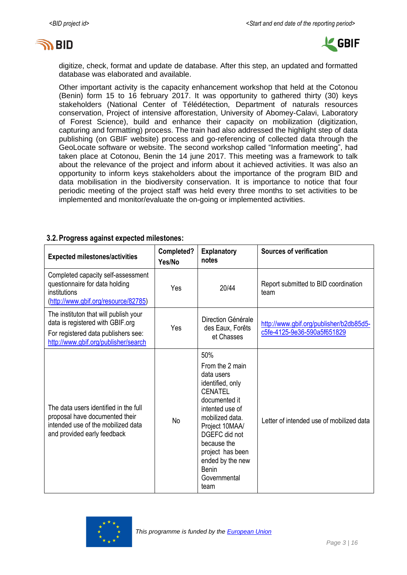



digitize, check, format and update de database. After this step, an updated and formatted database was elaborated and available.

Other important activity is the capacity enhancement workshop that held at the Cotonou (Benin) form 15 to 16 february 2017. It was opportunity to gathered thirty (30) keys stakeholders (National Center of Télédétection, Department of naturals resources conservation, Project of intensive afforestation, University of Abomey-Calavi, Laboratory of Forest Science), build and enhance their capacity on mobilization (digitization, capturing and formatting) process. The train had also addressed the highlight step of data publishing (on GBIF website) process and go-referencing of collected data through the GeoLocate software or website. The second workshop called "Information meeting", had taken place at Cotonou, Benin the 14 june 2017. This meeting was a framework to talk about the relevance of the project and inform about it achieved activities. It was also an opportunity to inform keys stakeholders about the importance of the program BID and data mobilisation in the biodiversity conservation. It is importance to notice that four periodic meeting of the project staff was held every three months to set activities to be implemented and monitor/evaluate the on-going or implemented activities.

#### **3.2.Progress against expected milestones:**

| <b>Expected milestones/activities</b>                                                                                                                    | Completed?<br>Yes/No | <b>Explanatory</b><br>notes                                                                                                                                                                                                                                         | <b>Sources of verification</b>                                         |
|----------------------------------------------------------------------------------------------------------------------------------------------------------|----------------------|---------------------------------------------------------------------------------------------------------------------------------------------------------------------------------------------------------------------------------------------------------------------|------------------------------------------------------------------------|
| Completed capacity self-assessment<br>questionnaire for data holding<br>institutions<br>(http://www.gbif.org/resource/82785)                             | Yes                  | 20/44                                                                                                                                                                                                                                                               | Report submitted to BID coordination<br>team                           |
| The instituton that will publish your<br>data is registered with GBIF.org<br>For registered data publishers see:<br>http://www.gbif.org/publisher/search | Yes                  | Direction Générale<br>des Eaux, Forêts<br>et Chasses                                                                                                                                                                                                                | http://www.gbif.org/publisher/b2db85d5-<br>c5fe-4125-9e36-590a5f651829 |
| The data users identified in the full<br>proposal have documented their<br>intended use of the mobilized data<br>and provided early feedback             | <b>No</b>            | 50%<br>From the 2 main<br>data users<br>identified, only<br><b>CENATEL</b><br>documented it<br>intented use of<br>mobilized data.<br>Project 10MAA/<br>DGEFC did not<br>because the<br>project has been<br>ended by the new<br><b>Benin</b><br>Governmental<br>team | Letter of intended use of mobilized data                               |

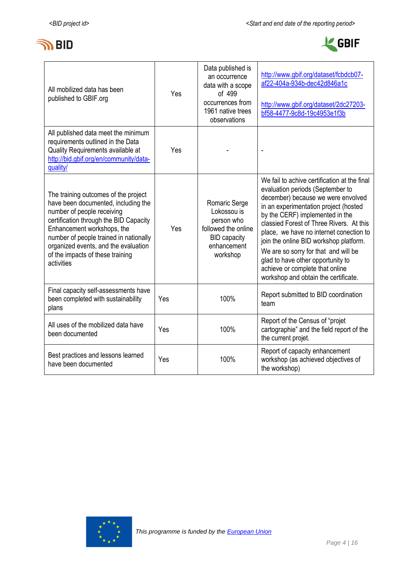



| All mobilized data has been<br>published to GBIF.org                                                                                                                                                                                                                                                                  | Yes | Data published is<br>an occurrence<br>data with a scope<br>of 499<br>occurrences from<br>1961 native trees<br>observations | http://www.gbif.org/dataset/fcbdcb07-<br>af22-404a-934b-dec42d846a1c<br>http://www.gbif.org/dataset/2dc27203-<br>bf58-4477-9c8d-19c4953e1f3b                                                                                                                                                                                                                                                                                                                                                |
|-----------------------------------------------------------------------------------------------------------------------------------------------------------------------------------------------------------------------------------------------------------------------------------------------------------------------|-----|----------------------------------------------------------------------------------------------------------------------------|---------------------------------------------------------------------------------------------------------------------------------------------------------------------------------------------------------------------------------------------------------------------------------------------------------------------------------------------------------------------------------------------------------------------------------------------------------------------------------------------|
| All published data meet the minimum<br>requirements outlined in the Data<br>Quality Requirements available at<br>http://bid.gbif.org/en/community/data-<br>quality/                                                                                                                                                   | Yes |                                                                                                                            | ÷,                                                                                                                                                                                                                                                                                                                                                                                                                                                                                          |
| The training outcomes of the project<br>have been documented, including the<br>number of people receiving<br>certification through the BID Capacity<br>Enhancement workshops, the<br>number of people trained in nationally<br>organized events, and the evaluation<br>of the impacts of these training<br>activities | Yes | Romaric Serge<br>Lokossou is<br>person who<br>followed the online<br><b>BID capacity</b><br>enhancement<br>workshop        | We fail to achive certification at the final<br>evaluation periods (September to<br>december) because we were envolved<br>in an experimentation project (hosted<br>by the CERF) implemented in the<br>classied Forest of Three Rivers. At this<br>place, we have no internet conection to<br>join the online BID workshop platform.<br>We are so sorry for that and will be<br>glad to have other opportunity to<br>achieve or complete that online<br>workshop and obtain the certificate. |
| Final capacity self-assessments have<br>been completed with sustainability<br>plans                                                                                                                                                                                                                                   | Yes | 100%                                                                                                                       | Report submitted to BID coordination<br>team                                                                                                                                                                                                                                                                                                                                                                                                                                                |
| All uses of the mobilized data have<br>been documented                                                                                                                                                                                                                                                                | Yes | 100%                                                                                                                       | Report of the Census of "projet"<br>cartographie" and the field report of the<br>the current projet.                                                                                                                                                                                                                                                                                                                                                                                        |
| Best practices and lessons learned<br>have been documented                                                                                                                                                                                                                                                            | Yes | 100%                                                                                                                       | Report of capacity enhancement<br>workshop (as achieved objectives of<br>the workshop)                                                                                                                                                                                                                                                                                                                                                                                                      |

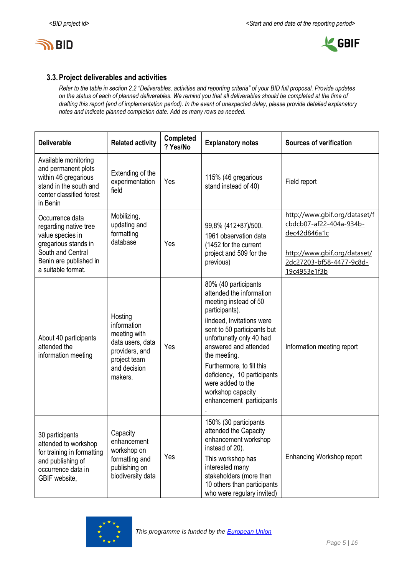



### **3.3.Project deliverables and activities**

*Refer to the table in section 2.2 "Deliverables, activities and reporting criteria" of your BID full proposal. Provide updates on the status of each of planned deliverables. We remind you that all deliverables should be completed at the time of drafting this report (end of implementation period). In the event of unexpected delay, please provide detailed explanatory notes and indicate planned completion date. Add as many rows as needed.*

| <b>Deliverable</b>                                                                                                                                        | <b>Related activity</b>                                                                                                 | Completed<br>? Yes/No | <b>Explanatory notes</b>                                                                                                                                                                                                                                                                                                                                       | <b>Sources of verification</b>                                                                                                                       |
|-----------------------------------------------------------------------------------------------------------------------------------------------------------|-------------------------------------------------------------------------------------------------------------------------|-----------------------|----------------------------------------------------------------------------------------------------------------------------------------------------------------------------------------------------------------------------------------------------------------------------------------------------------------------------------------------------------------|------------------------------------------------------------------------------------------------------------------------------------------------------|
| Available monitoring<br>and permanent plots<br>within 46 gregarious<br>stand in the south and<br>center classified forest<br>in Benin                     | Extending of the<br>experimentation<br>field                                                                            | Yes                   | 115% (46 gregarious<br>stand instead of 40)                                                                                                                                                                                                                                                                                                                    | Field report                                                                                                                                         |
| Occurrence data<br>regarding native tree<br>value species in<br>gregarious stands in<br>South and Central<br>Benin are published in<br>a suitable format. | Mobilizing,<br>updating and<br>formatting<br>database                                                                   | Yes                   | 99,8% (412+87)/500.<br>1961 observation data<br>(1452 for the current<br>project and 509 for the<br>previous)                                                                                                                                                                                                                                                  | http://www.gbif.org/dataset/f<br>cbdcb07-af22-404a-934b-<br>dec42d846a1c<br>http://www.gbif.org/dataset/<br>2dc27203-bf58-4477-9c8d-<br>19c4953e1f3b |
| About 40 participants<br>attended the<br>information meeting                                                                                              | Hosting<br>information<br>meeting with<br>data users, data<br>providers, and<br>project team<br>and decision<br>makers. | Yes                   | 80% (40 participants<br>attended the information<br>meeting instead of 50<br>participants).<br>ilndeed, Invitations were<br>sent to 50 participants but<br>unfortunatly only 40 had<br>answered and attended<br>the meeting.<br>Furthermore, to fill this<br>deficiency, 10 participants<br>were added to the<br>workshop capacity<br>enhancement participants | Information meeting report                                                                                                                           |
| 30 participants<br>attended to workshop<br>for training in formatting<br>and publishing of<br>occurrence data in<br>GBIF website,                         | Capacity<br>enhancement<br>workshop on<br>formatting and<br>publishing on<br>biodiversity data                          | Yes                   | 150% (30 participants<br>attended the Capacity<br>enhancement workshop<br>instead of 20).<br>This workshop has<br>interested many<br>stakeholders (more than<br>10 others than participants<br>who were regulary invited)                                                                                                                                      | Enhancing Workshop report                                                                                                                            |

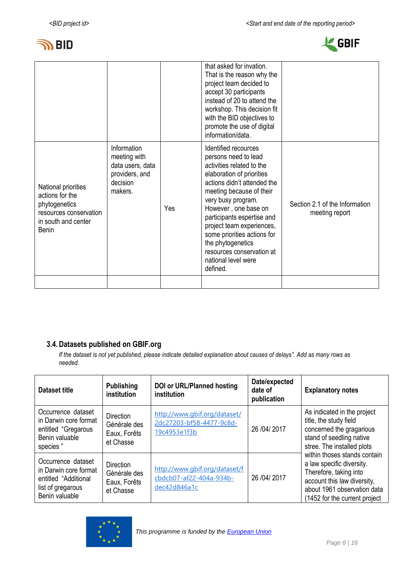



|                                                                                                                          |                                                                                          |     | that asked for invation.<br>That is the reason why the<br>project team decided to<br>accept 30 participants<br>instead of 20 to attend the<br>workshop. This decision fit<br>with the BID objectives to<br>promote the use of digital<br>information/data.                                                                                                                                     |                                                  |
|--------------------------------------------------------------------------------------------------------------------------|------------------------------------------------------------------------------------------|-----|------------------------------------------------------------------------------------------------------------------------------------------------------------------------------------------------------------------------------------------------------------------------------------------------------------------------------------------------------------------------------------------------|--------------------------------------------------|
| National priorities<br>actions for the<br>phytogenetics<br>resources conservation<br>in south and center<br><b>Benin</b> | Information<br>meeting with<br>data users, data<br>providers, and<br>decision<br>makers. | Yes | Identified recources<br>persons need to lead<br>activities related to the<br>elaboration of priorities<br>actions didn't attended the<br>meeting because of their<br>very busy program.<br>However, one base on<br>participants espertise and<br>project team experiences,<br>some priorities actions for<br>the phytogenetics<br>resources conservation at<br>national level were<br>defined. | Section 2.1 of the Information<br>meeting report |
|                                                                                                                          |                                                                                          |     |                                                                                                                                                                                                                                                                                                                                                                                                |                                                  |

# **3.4.Datasets published on GBIF.org**

*If the dataset is not yet published, please indicate detailed explanation about causes of delays". Add as many rows as needed.*

| Dataset title                                                                                              | <b>Publishing</b><br>institution                              | <b>DOI or URL/Planned hosting</b><br>institution                         | Date/expected<br>date of<br>publication | <b>Explanatory notes</b>                                                                                                                                                            |
|------------------------------------------------------------------------------------------------------------|---------------------------------------------------------------|--------------------------------------------------------------------------|-----------------------------------------|-------------------------------------------------------------------------------------------------------------------------------------------------------------------------------------|
| Occurrence dataset<br>in Darwin core format<br>entitled "Gregarous<br>Benin valuable<br>species"           | <b>Direction</b><br>Générale des<br>Eaux, Forêts<br>et Chasse | http://www.qbif.org/dataset/<br>2dc27203-bf58-4477-9c8d-<br>19c4953e1f3b | 26 /04/ 2017                            | As indicated in the project<br>title, the study field<br>concerned the gragarious<br>stand of seedling native<br>stree. The installed plots                                         |
| Occurrence dataset<br>in Darwin core format<br>entitled "Additional<br>list of gregarous<br>Benin valuable | <b>Direction</b><br>Générale des<br>Eaux, Forêts<br>et Chasse | http://www.qbif.org/dataset/f<br>cbdcb07-af22-404a-934b-<br>dec42d846a1c | 26 / 04 / 2017                          | within thoses stands contain<br>a law specific diversity.<br>Therefore, taking into<br>account this law diversity,<br>about 1961 observation data<br>(1452 for the current project) |

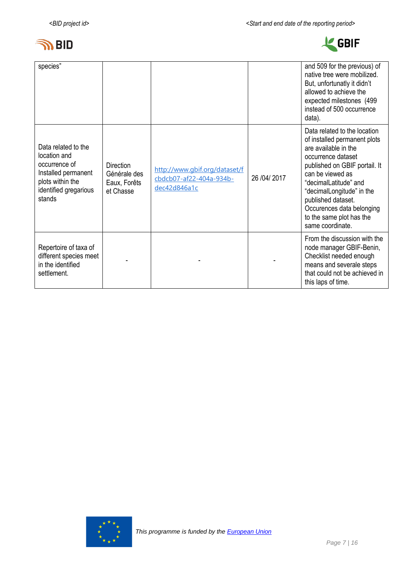



| species"                                                                                                                           |                                                        |                                                                          |                | and 509 for the previous) of<br>native tree were mobilized.<br>But, unfortunatly it didn't<br>allowed to achieve the<br>expected milestones (499<br>instead of 500 occurrence<br>data).                                                                                                                                  |
|------------------------------------------------------------------------------------------------------------------------------------|--------------------------------------------------------|--------------------------------------------------------------------------|----------------|--------------------------------------------------------------------------------------------------------------------------------------------------------------------------------------------------------------------------------------------------------------------------------------------------------------------------|
| Data related to the<br>location and<br>occurrence of<br>Installed permanent<br>plots within the<br>identified gregarious<br>stands | Direction<br>Générale des<br>Eaux, Forêts<br>et Chasse | http://www.qbif.org/dataset/f<br>cbdcb07-af22-404a-934b-<br>dec42d846a1c | 26 / 04 / 2017 | Data related to the location<br>of installed permanent plots<br>are available in the<br>occurrence dataset<br>published on GBIF portail. It<br>can be viewed as<br>"decimalLatitude" and<br>"decimalLongitude" in the<br>published dataset.<br>Occurences data belonging<br>to the same plot has the<br>same coordinate. |
| Repertoire of taxa of<br>different species meet<br>in the identified<br>settlement.                                                |                                                        |                                                                          |                | From the discussion with the<br>node manager GBIF-Benin,<br>Checklist needed enough<br>means and severale steps<br>that could not be achieved in<br>this laps of time.                                                                                                                                                   |

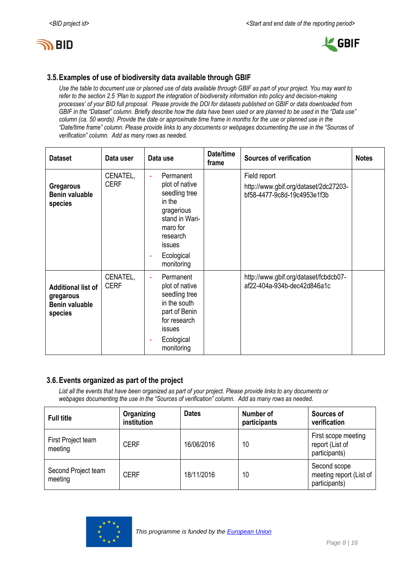



### **3.5.Examples of use of biodiversity data available through GBIF**

*Use the table to document use or planned use of data available through GBIF as part of your project. You may want to refer to the section 2.5 'Plan to support the integration of biodiversity information into policy and decision-making processes' of your BID full proposal. Please provide the DOI for datasets published on GBIF or data downloaded from GBIF in the "Dataset" column. Briefly describe how the data have been used or are planned to be used in the "Data use" column (ca. 50 words). Provide the date or approximate time frame in months for the use or planned use in the "Date/time frame" column. Please provide links to any documents or webpages documenting the use in the "Sources of verification" column. Add as many rows as needed.*

| <b>Dataset</b>                                                             | Data user               | Data use                                                                                                                                                        | Date/time<br>frame | <b>Sources of verification</b>                                                       | <b>Notes</b> |
|----------------------------------------------------------------------------|-------------------------|-----------------------------------------------------------------------------------------------------------------------------------------------------------------|--------------------|--------------------------------------------------------------------------------------|--------------|
| <b>Gregarous</b><br><b>Benin valuable</b><br>species                       | CENATEL,<br><b>CERF</b> | Permanent<br>÷,<br>plot of native<br>seedling tree<br>in the<br>gragerious<br>stand in Wari-<br>maro for<br>research<br>issues<br>Ecological<br>۰<br>monitoring |                    | Field report<br>http://www.gbif.org/dataset/2dc27203-<br>bf58-4477-9c8d-19c4953e1f3b |              |
| <b>Additional list of</b><br>gregarous<br><b>Benin valuable</b><br>species | CENATEL,<br><b>CERF</b> | Permanent<br>ä,<br>plot of native<br>seedling tree<br>in the south<br>part of Benin<br>for research<br>issues<br>Ecological<br>monitoring                       |                    | http://www.gbif.org/dataset/fcbdcb07-<br>af22-404a-934b-dec42d846a1c                 |              |

### **3.6.Events organized as part of the project**

*List all the events that have been organized as part of your project. Please provide links to any documents or webpages documenting the use in the "Sources of verification" column. Add as many rows as needed.*

| <b>Full title</b>              | Organizing<br>institution | <b>Dates</b> | Number of<br>participants | Sources of<br>verification                               |
|--------------------------------|---------------------------|--------------|---------------------------|----------------------------------------------------------|
| First Project team<br>meeting  | <b>CERF</b>               | 16/06/2016   | 10                        | First scope meeting<br>report (List of<br>participants)  |
| Second Project team<br>meeting | <b>CERF</b>               | 18/11/2016   | 10                        | Second scope<br>meeting report (List of<br>participants) |

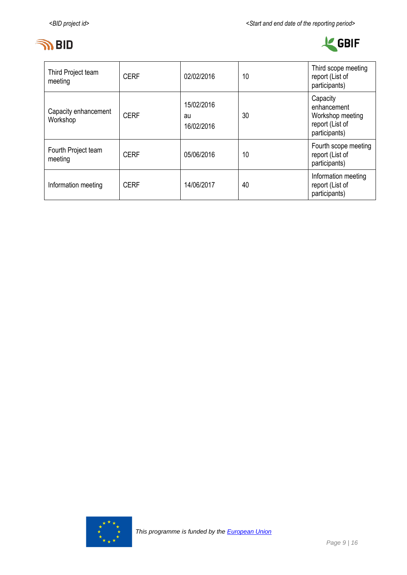



| Third Project team<br>meeting    | <b>CERF</b> | 02/02/2016                     | 10 | Third scope meeting<br>report (List of<br>participants)                         |
|----------------------------------|-------------|--------------------------------|----|---------------------------------------------------------------------------------|
| Capacity enhancement<br>Workshop | <b>CERF</b> | 15/02/2016<br>au<br>16/02/2016 | 30 | Capacity<br>enhancement<br>Workshop meeting<br>report (List of<br>participants) |
| Fourth Project team<br>meeting   | <b>CERF</b> | 05/06/2016                     | 10 | Fourth scope meeting<br>report (List of<br>participants)                        |
| Information meeting              | <b>CERF</b> | 14/06/2017                     | 40 | Information meeting<br>report (List of<br>participants)                         |

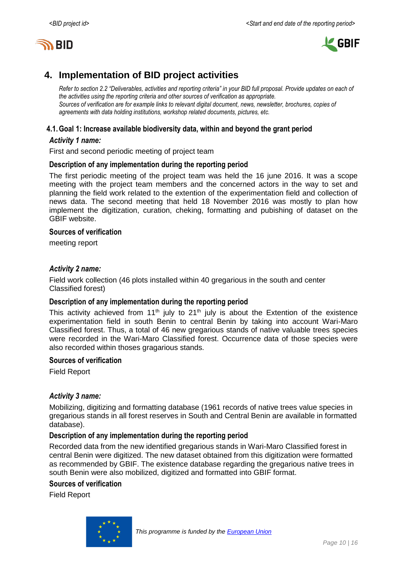



# <span id="page-9-0"></span>**4. Implementation of BID project activities**

*Refer to section 2.2 "Deliverables, activities and reporting criteria" in your BID full proposal. Provide updates on each of the activities using the reporting criteria and other sources of verification as appropriate. Sources of verification are for example links to relevant digital document, news, newsletter, brochures, copies of agreements with data holding institutions, workshop related documents, pictures, etc.*

### **4.1.Goal 1: Increase available biodiversity data, within and beyond the grant period**

#### *Activity 1 name:*

First and second periodic meeting of project team

#### **Description of any implementation during the reporting period**

The first periodic meeting of the project team was held the 16 june 2016. It was a scope meeting with the project team members and the concerned actors in the way to set and planning the field work related to the extention of the experimentation field and collection of news data. The second meeting that held 18 November 2016 was mostly to plan how implement the digitization, curation, cheking, formatting and pubishing of dataset on the GBIF website.

#### **Sources of verification**

meeting report

#### *Activity 2 name:*

Field work collection (46 plots installed within 40 gregarious in the south and center Classified forest)

#### **Description of any implementation during the reporting period**

This activity achieved from 11<sup>th</sup> july to 21<sup>th</sup> july is about the Extention of the existence experimentation field in south Benin to central Benin by taking into account Wari-Maro Classified forest. Thus, a total of 46 new gregarious stands of native valuable trees species were recorded in the Wari-Maro Classified forest. Occurrence data of those species were also recorded within thoses gragarious stands.

#### **Sources of verification**

Field Report

#### *Activity 3 name:*

Mobilizing, digitizing and formatting database (1961 records of native trees value species in gregarious stands in all forest reserves in South and Central Benin are available in formatted database).

#### **Description of any implementation during the reporting period**

Recorded data from the new identified gregarious stands in Wari-Maro Classified forest in central Benin were digitized. The new dataset obtained from this digitization were formatted as recommended by GBIF. The existence database regarding the gregarious native trees in south Benin were also mobilized, digitized and formatted into GBIF format.

#### **Sources of verification**

Field Report

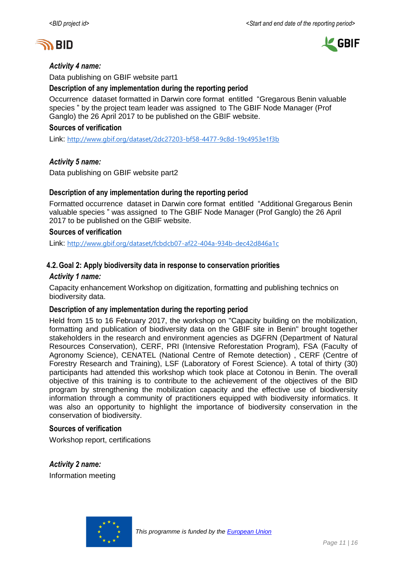



#### *Activity 4 name:*

Data publishing on GBIF website part1

#### **Description of any implementation during the reporting period**

Occurrence dataset formatted in Darwin core format entitled "Gregarous Benin valuable species " by the project team leader was assigned to The GBIF Node Manager (Prof Ganglo) the 26 April 2017 to be published on the GBIF website.

#### **Sources of verification**

Link: <http://www.gbif.org/dataset/2dc27203-bf58-4477-9c8d-19c4953e1f3b>

#### *Activity 5 name:*

Data publishing on GBIF website part2

#### **Description of any implementation during the reporting period**

Formatted occurrence dataset in Darwin core format entitled "Additional Gregarous Benin valuable species " was assigned to The GBIF Node Manager (Prof Ganglo) the 26 April 2017 to be published on the GBIF website.

#### **Sources of verification**

Link: <http://www.gbif.org/dataset/fcbdcb07-af22-404a-934b-dec42d846a1c>

#### **4.2.Goal 2: Apply biodiversity data in response to conservation priorities**

#### *Activity 1 name:*

Capacity enhancement Workshop on digitization, formatting and publishing technics on biodiversity data.

#### **Description of any implementation during the reporting period**

Held from 15 to 16 February 2017, the workshop on "Capacity building on the mobilization, formatting and publication of biodiversity data on the GBIF site in Benin" brought together stakeholders in the research and environment agencies as DGFRN (Department of Natural Resources Conservation), CERF, PRI (Intensive Reforestation Program), FSA (Faculty of Agronomy Science), CENATEL (National Centre of Remote detection) , CERF (Centre of Forestry Research and Training), LSF (Laboratory of Forest Science). A total of thirty (30) participants had attended this workshop which took place at Cotonou in Benin. The overall objective of this training is to contribute to the achievement of the objectives of the BID program by strengthening the mobilization capacity and the effective use of biodiversity information through a community of practitioners equipped with biodiversity informatics. It was also an opportunity to highlight the importance of biodiversity conservation in the conservation of biodiversity.

#### **Sources of verification**

Workshop report, certifications

*Activity 2 name:* Information meeting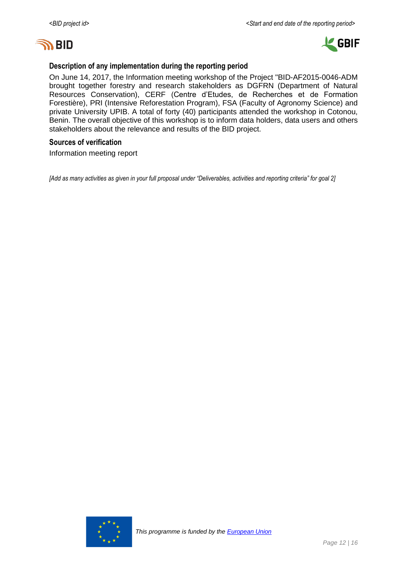



#### **Description of any implementation during the reporting period**

On June 14, 2017, the Information meeting workshop of the Project "BID-AF2015-0046-ADM brought together forestry and research stakeholders as DGFRN (Department of Natural Resources Conservation), CERF (Centre d'Etudes, de Recherches et de Formation Forestière), PRI (Intensive Reforestation Program), FSA (Faculty of Agronomy Science) and private University UPIB. A total of forty (40) participants attended the workshop in Cotonou, Benin. The overall objective of this workshop is to inform data holders, data users and others stakeholders about the relevance and results of the BID project.

#### **Sources of verification**

Information meeting report

*[Add as many activities as given in your full proposal under "Deliverables, activities and reporting criteria" for goal 2]*

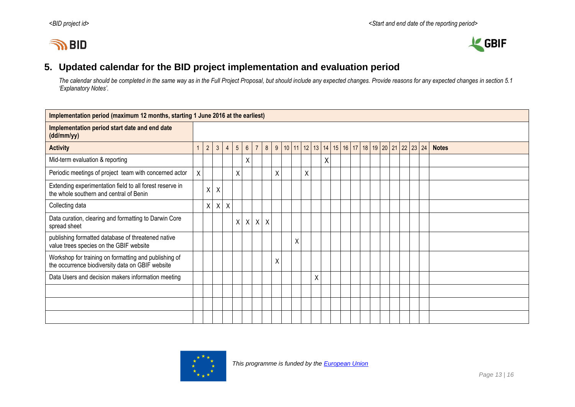# **IN BID**



# **5. Updated calendar for the BID project implementation and evaluation period**

*The calendar should be completed in the same way as in the Full Project Proposal, but should include any expected changes. Provide reasons for any expected changes in section 5.1 'Explanatory Notes'.*

<span id="page-12-0"></span>

| Implementation period (maximum 12 months, starting 1 June 2016 at the earliest)                           |                |                 |                |                |                 |                 |                |         |   |                                                                              |   |   |   |   |  |  |  |  |  |              |
|-----------------------------------------------------------------------------------------------------------|----------------|-----------------|----------------|----------------|-----------------|-----------------|----------------|---------|---|------------------------------------------------------------------------------|---|---|---|---|--|--|--|--|--|--------------|
| Implementation period start date and end date<br>(dd/mm/yy)                                               |                |                 |                |                |                 |                 |                |         |   |                                                                              |   |   |   |   |  |  |  |  |  |              |
| <b>Activity</b>                                                                                           | $\overline{1}$ | $2\overline{ }$ | $\mathfrak{Z}$ | $\overline{4}$ | $5\overline{)}$ | $6\overline{6}$ | $\overline{7}$ | 8       |   | 9   10   11   12   13   14   15   16   17   18   19   20   21   22   23   24 |   |   |   |   |  |  |  |  |  | <b>Notes</b> |
| Mid-term evaluation & reporting                                                                           |                |                 |                |                |                 | χ               |                |         |   |                                                                              |   |   |   | Χ |  |  |  |  |  |              |
| Periodic meetings of project team with concerned actor                                                    | X              |                 |                |                | X               |                 |                |         | Χ |                                                                              |   | Χ |   |   |  |  |  |  |  |              |
| Extending experimentation field to all forest reserve in<br>the whole southern and central of Benin       |                | $\mathsf{X}$    | $\mathsf{X}$   |                |                 |                 |                |         |   |                                                                              |   |   |   |   |  |  |  |  |  |              |
| Collecting data                                                                                           |                | X               | $\times$       | X              |                 |                 |                |         |   |                                                                              |   |   |   |   |  |  |  |  |  |              |
| Data curation, clearing and formatting to Darwin Core<br>spread sheet                                     |                |                 |                |                |                 | $X$ $X$         | $\mathsf{X}$   | $\sf X$ |   |                                                                              |   |   |   |   |  |  |  |  |  |              |
| publishing formatted database of threatened native<br>value trees species on the GBIF website             |                |                 |                |                |                 |                 |                |         |   |                                                                              | Χ |   |   |   |  |  |  |  |  |              |
| Workshop for training on formatting and publishing of<br>the occurrence biodiversity data on GBIF website |                |                 |                |                |                 |                 |                |         | Χ |                                                                              |   |   |   |   |  |  |  |  |  |              |
| Data Users and decision makers information meeting                                                        |                |                 |                |                |                 |                 |                |         |   |                                                                              |   |   | Χ |   |  |  |  |  |  |              |
|                                                                                                           |                |                 |                |                |                 |                 |                |         |   |                                                                              |   |   |   |   |  |  |  |  |  |              |
|                                                                                                           |                |                 |                |                |                 |                 |                |         |   |                                                                              |   |   |   |   |  |  |  |  |  |              |
|                                                                                                           |                |                 |                |                |                 |                 |                |         |   |                                                                              |   |   |   |   |  |  |  |  |  |              |

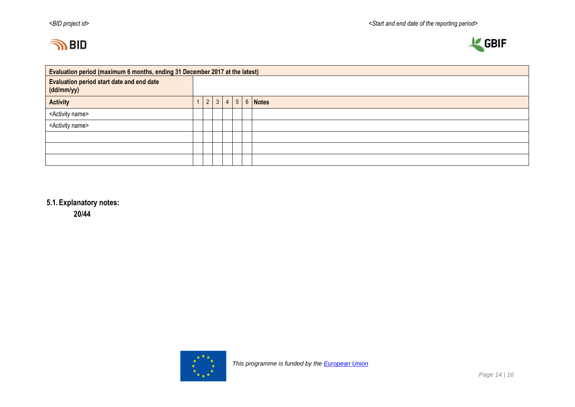



|                                                                | Evaluation period (maximum 6 months, ending 31 December 2017 at the latest) |                |  |  |  |  |                                |  |  |  |  |  |  |
|----------------------------------------------------------------|-----------------------------------------------------------------------------|----------------|--|--|--|--|--------------------------------|--|--|--|--|--|--|
| <b>Evaluation period start date and end date</b><br>(dd/mm/yy) |                                                                             |                |  |  |  |  |                                |  |  |  |  |  |  |
| <b>Activity</b>                                                |                                                                             | $\overline{2}$ |  |  |  |  | $3 \mid 4 \mid 5 \mid 6$ Notes |  |  |  |  |  |  |
| <activity name=""></activity>                                  |                                                                             |                |  |  |  |  |                                |  |  |  |  |  |  |
| <activity name=""></activity>                                  |                                                                             |                |  |  |  |  |                                |  |  |  |  |  |  |
|                                                                |                                                                             |                |  |  |  |  |                                |  |  |  |  |  |  |
|                                                                |                                                                             |                |  |  |  |  |                                |  |  |  |  |  |  |
|                                                                |                                                                             |                |  |  |  |  |                                |  |  |  |  |  |  |

# **5.1.Explanatory notes:**

**20/44**

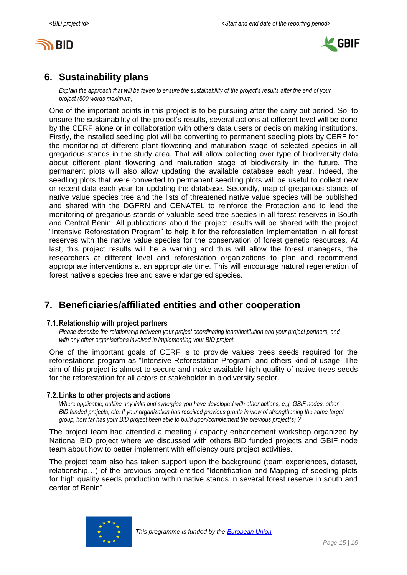



# <span id="page-14-0"></span>**6. Sustainability plans**

*Explain the approach that will be taken to ensure the sustainability of the project's results after the end of your project (500 words maximum)*

One of the important points in this project is to be pursuing after the carry out period. So, to unsure the sustainability of the project's results, several actions at different level will be done by the CERF alone or in collaboration with others data users or decision making institutions. Firstly, the installed seedling plot will be converting to permanent seedling plots by CERF for the monitoring of different plant flowering and maturation stage of selected species in all gregarious stands in the study area. That will allow collecting over type of biodiversity data about different plant flowering and maturation stage of biodiversity in the future. The permanent plots will also allow updating the available database each year. Indeed, the seedling plots that were converted to permanent seedling plots will be useful to collect new or recent data each year for updating the database. Secondly, map of gregarious stands of native value species tree and the lists of threatened native value species will be published and shared with the DGFRN and CENATEL to reinforce the Protection and to lead the monitoring of gregarious stands of valuable seed tree species in all forest reserves in South and Central Benin. All publications about the project results will be shared with the project "Intensive Reforestation Program" to help it for the reforestation Implementation in all forest reserves with the native value species for the conservation of forest genetic resources. At last, this project results will be a warning and thus will allow the forest managers, the researchers at different level and reforestation organizations to plan and recommend appropriate interventions at an appropriate time. This will encourage natural regeneration of forest native's species tree and save endangered species.

# <span id="page-14-1"></span>**7. Beneficiaries/affiliated entities and other cooperation**

#### **7.1.Relationship with project partners**

*Please describe the relationship between your project coordinating team/institution and your project partners, and with any other organisations involved in implementing your BID project.*

One of the important goals of CERF is to provide values trees seeds required for the reforestations program as "Intensive Reforestation Program" and others kind of usage. The aim of this project is almost to secure and make available high quality of native trees seeds for the reforestation for all actors or stakeholder in biodiversity sector.

#### **7.2.Links to other projects and actions**

*Where applicable, outline any links and synergies you have developed with other actions, e.g. GBIF nodes, other BID funded projects, etc. If your organization has received previous grants in view of strengthening the same target group, how far has your BID project been able to build upon/complement the previous project(s) ?*

The project team had attended a meeting / capacity enhancement workshop organized by National BID project where we discussed with others BID funded projects and GBIF node team about how to better implement with efficiency ours project activities.

The project team also has taken support upon the background (team experiences, dataset, relationship…) of the previous project entitled "Identification and Mapping of seedling plots for high quality seeds production within native stands in several forest reserve in south and center of Benin".